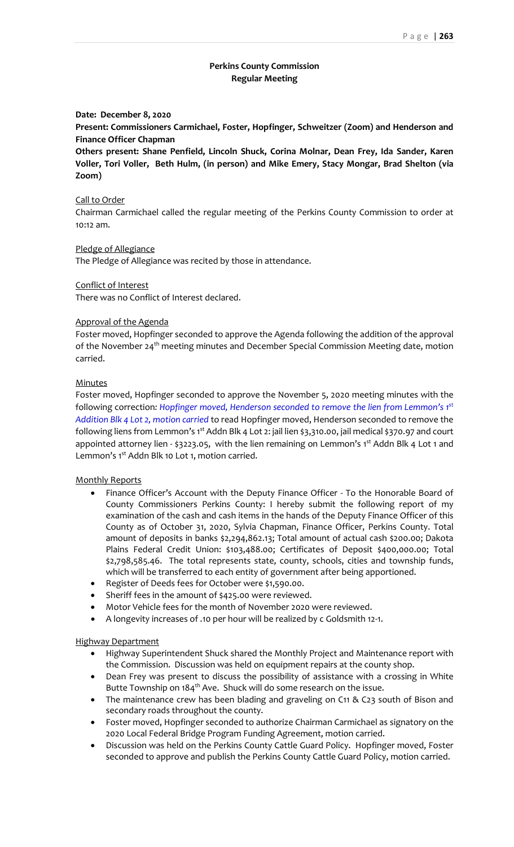# **Perkins County Commission Regular Meeting**

#### **Date: December 8, 2020**

**Present: Commissioners Carmichael, Foster, Hopfinger, Schweitzer (Zoom) and Henderson and Finance Officer Chapman**

**Others present: Shane Penfield, Lincoln Shuck, Corina Molnar, Dean Frey, Ida Sander, Karen Voller, Tori Voller, Beth Hulm, (in person) and Mike Emery, Stacy Mongar, Brad Shelton (via Zoom)**

#### Call to Order

Chairman Carmichael called the regular meeting of the Perkins County Commission to order at 10:12 am.

### Pledge of Allegiance

The Pledge of Allegiance was recited by those in attendance.

Conflict of Interest There was no Conflict of Interest declared.

### Approval of the Agenda

Foster moved, Hopfinger seconded to approve the Agenda following the addition of the approval of the November 24<sup>th</sup> meeting minutes and December Special Commission Meeting date, motion carried.

#### **Minutes**

Foster moved, Hopfinger seconded to approve the November 5, 2020 meeting minutes with the following correction*: Hopfinger moved, Henderson seconded to remove the lien from Lemmon's 1st Addition Blk 4 Lot 2, motion carried* to read Hopfinger moved, Henderson seconded to remove the following liens from Lemmon's 1<sup>st</sup> Addn Blk 4 Lot 2: jail lien \$3,310.00, jail medical \$370.97 and court appointed attorney lien - \$3223.05, with the lien remaining on Lemmon's  $1^{st}$  Addn Blk 4 Lot 1 and Lemmon's 1<sup>st</sup> Addn Blk 10 Lot 1, motion carried.

### Monthly Reports

- Finance Officer's Account with the Deputy Finance Officer To the Honorable Board of County Commissioners Perkins County: I hereby submit the following report of my examination of the cash and cash items in the hands of the Deputy Finance Officer of this County as of October 31, 2020, Sylvia Chapman, Finance Officer, Perkins County. Total amount of deposits in banks \$2,294,862.13; Total amount of actual cash \$200.00; Dakota Plains Federal Credit Union: \$103,488.00; Certificates of Deposit \$400,000.00; Total \$2,798,585.46. The total represents state, county, schools, cities and township funds, which will be transferred to each entity of government after being apportioned.
- Register of Deeds fees for October were \$1,590.00.
- Sheriff fees in the amount of \$425.00 were reviewed.
- Motor Vehicle fees for the month of November 2020 were reviewed.
- A longevity increases of .10 per hour will be realized by c Goldsmith 12-1.

### Highway Department

- Highway Superintendent Shuck shared the Monthly Project and Maintenance report with the Commission. Discussion was held on equipment repairs at the county shop.
- Dean Frey was present to discuss the possibility of assistance with a crossing in White Butte Township on 184<sup>th</sup> Ave. Shuck will do some research on the issue.
- The maintenance crew has been blading and graveling on C11 & C23 south of Bison and secondary roads throughout the county.
- Foster moved, Hopfinger seconded to authorize Chairman Carmichael as signatory on the 2020 Local Federal Bridge Program Funding Agreement, motion carried.
- Discussion was held on the Perkins County Cattle Guard Policy. Hopfinger moved, Foster seconded to approve and publish the Perkins County Cattle Guard Policy, motion carried.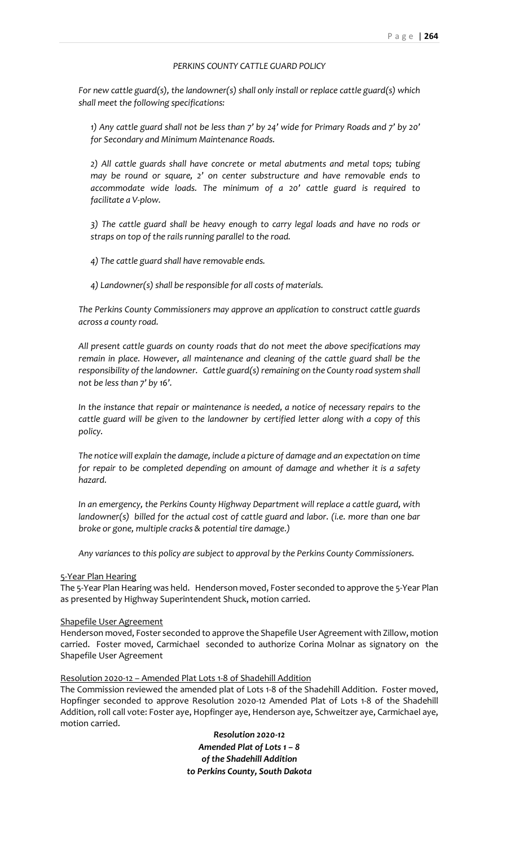## *PERKINS COUNTY CATTLE GUARD POLICY*

*For new cattle guard(s), the landowner(s) shall only install or replace cattle guard(s) which shall meet the following specifications:*

*1) Any cattle guard shall not be less than 7' by 24' wide for Primary Roads and 7' by 20' for Secondary and Minimum Maintenance Roads.* 

*2) All cattle guards shall have concrete or metal abutments and metal tops; tubing may be round or square, 2' on center substructure and have removable ends to accommodate wide loads. The minimum of a 20' cattle guard is required to facilitate a V-plow.*

*3) The cattle guard shall be heavy enough to carry legal loads and have no rods or straps on top of the rails running parallel to the road.*

*4) The cattle guard shall have removable ends.*

*4) Landowner(s) shall be responsible for all costs of materials.*

*The Perkins County Commissioners may approve an application to construct cattle guards across a county road.*

*All present cattle guards on county roads that do not meet the above specifications may remain in place. However, all maintenance and cleaning of the cattle guard shall be the responsibility of the landowner. Cattle guard(s) remaining on the County road system shall not be less than 7' by 16'.*

*In the instance that repair or maintenance is needed, a notice of necessary repairs to the cattle guard will be given to the landowner by certified letter along with a copy of this policy.*

*The notice will explain the damage, include a picture of damage and an expectation on time for repair to be completed depending on amount of damage and whether it is a safety hazard.* 

*In an emergency, the Perkins County Highway Department will replace a cattle guard, with landowner(s) billed for the actual cost of cattle guard and labor. (i.e. more than one bar broke or gone, multiple cracks & potential tire damage.)*

*Any variances to this policy are subject to approval by the Perkins County Commissioners.*

### 5-Year Plan Hearing

The 5-Year Plan Hearing was held. Henderson moved, Foster seconded to approve the 5-Year Plan as presented by Highway Superintendent Shuck, motion carried.

#### Shapefile User Agreement

Henderson moved, Foster seconded to approve the Shapefile User Agreement with Zillow, motion carried. Foster moved, Carmichael seconded to authorize Corina Molnar as signatory on the Shapefile User Agreement

### Resolution 2020-12 – Amended Plat Lots 1-8 of Shadehill Addition

The Commission reviewed the amended plat of Lots 1-8 of the Shadehill Addition. Foster moved, Hopfinger seconded to approve Resolution 2020-12 Amended Plat of Lots 1-8 of the Shadehill Addition, roll call vote: Foster aye, Hopfinger aye, Henderson aye, Schweitzer aye, Carmichael aye, motion carried.

> *Resolution 2020-12 Amended Plat of Lots 1 – 8 of the Shadehill Addition to Perkins County, South Dakota*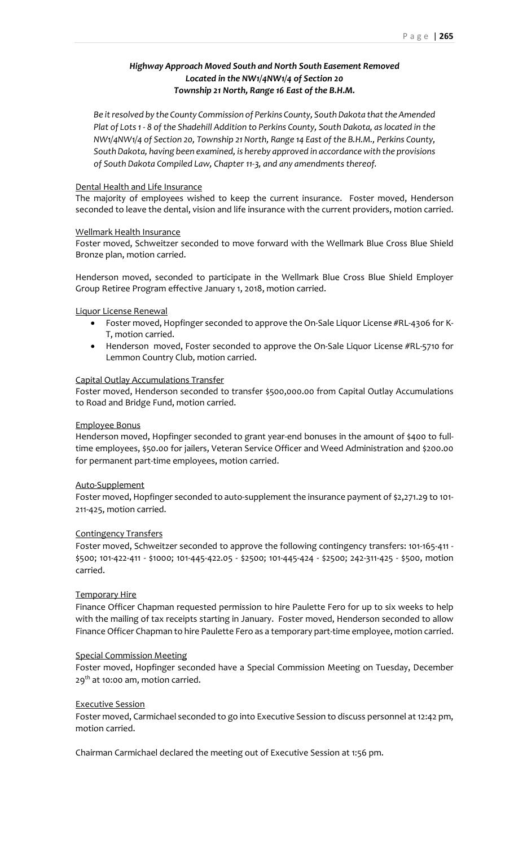# *Highway Approach Moved South and North South Easement Removed Located in the NW1/4NW1/4 of Section 20 Township 21 North, Range 16 East of the B.H.M.*

*Be it resolved by the County Commission of Perkins County, South Dakota that the Amended Plat of Lots 1 - 8 of the Shadehill Addition to Perkins County, South Dakota, as located in the NW1/4NW1/4 of Section 20, Township 21 North, Range 14 East of the B.H.M., Perkins County, South Dakota, having been examined, is hereby approved in accordance with the provisions of South Dakota Compiled Law, Chapter 11-3, and any amendments thereof.*

### Dental Health and Life Insurance

The majority of employees wished to keep the current insurance. Foster moved, Henderson seconded to leave the dental, vision and life insurance with the current providers, motion carried.

### Wellmark Health Insurance

Foster moved, Schweitzer seconded to move forward with the Wellmark Blue Cross Blue Shield Bronze plan, motion carried.

Henderson moved, seconded to participate in the Wellmark Blue Cross Blue Shield Employer Group Retiree Program effective January 1, 2018, motion carried.

### Liquor License Renewal

- Foster moved, Hopfinger seconded to approve the On-Sale Liquor License #RL-4306 for K-T, motion carried.
- Henderson moved, Foster seconded to approve the On-Sale Liquor License #RL-5710 for Lemmon Country Club, motion carried.

### Capital Outlay Accumulations Transfer

Foster moved, Henderson seconded to transfer \$500,000.00 from Capital Outlay Accumulations to Road and Bridge Fund, motion carried.

### Employee Bonus

Henderson moved, Hopfinger seconded to grant year-end bonuses in the amount of \$400 to fulltime employees, \$50.00 for jailers, Veteran Service Officer and Weed Administration and \$200.00 for permanent part-time employees, motion carried.

# Auto-Supplement

Foster moved, Hopfinger seconded to auto-supplement the insurance payment of \$2,271.29 to 101- 211-425, motion carried.

# Contingency Transfers

Foster moved, Schweitzer seconded to approve the following contingency transfers: 101-165-411 - \$500; 101-422-411 - \$1000; 101-445-422.05 - \$2500; 101-445-424 - \$2500; 242-311-425 - \$500, motion carried.

# Temporary Hire

Finance Officer Chapman requested permission to hire Paulette Fero for up to six weeks to help with the mailing of tax receipts starting in January. Foster moved, Henderson seconded to allow Finance Officer Chapman to hire Paulette Fero as a temporary part-time employee, motion carried.

# Special Commission Meeting

Foster moved, Hopfinger seconded have a Special Commission Meeting on Tuesday, December  $29<sup>th</sup>$  at 10:00 am, motion carried.

#### Executive Session

Foster moved, Carmichael seconded to go into Executive Session to discuss personnel at 12:42 pm, motion carried.

Chairman Carmichael declared the meeting out of Executive Session at 1:56 pm.